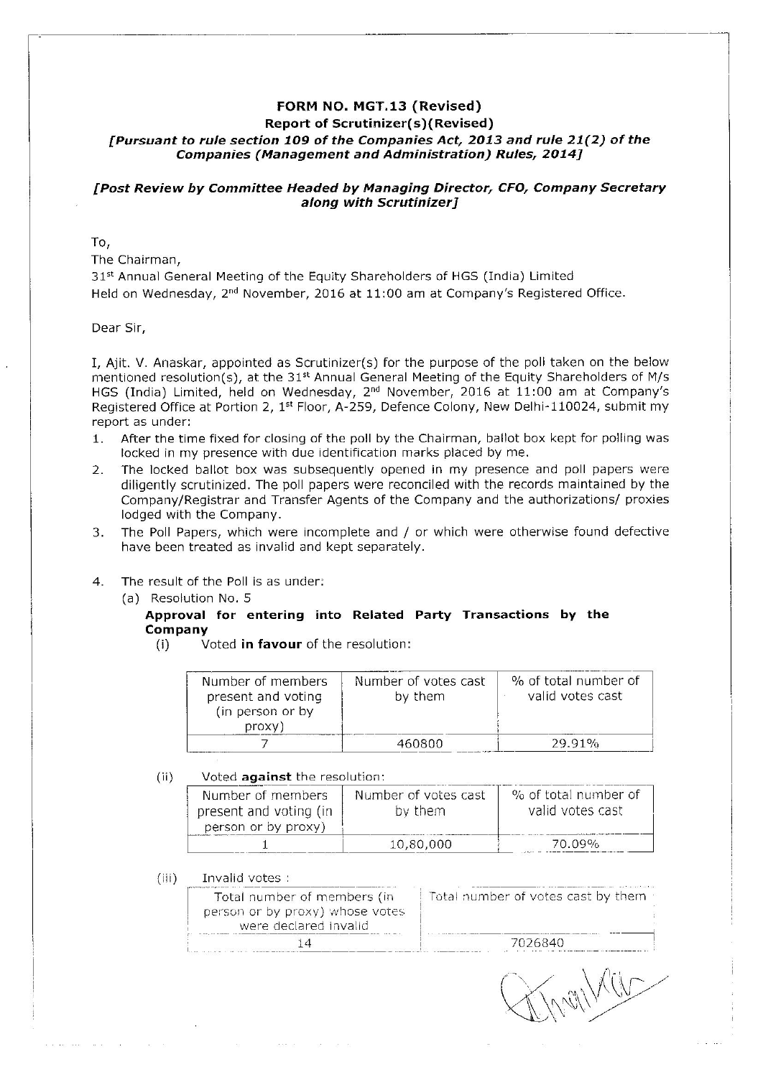# FORM NO. MGT.13 (Revised) **Report of Scrutinizer(s)(Revised)** [Pursuant to rule section 109 of the Companies Act, 2013 and rule 21(2) of the **Companies (Management and Administration) Rules, 2014]**

# [Post Review by Committee Headed by Managing Director, CFO, Company Secretary along with Scrutinizer1

### To,

The Chairman,

31st Annual General Meeting of the Equity Shareholders of HGS (India) Limited Held on Wednesday, 2<sup>nd</sup> November, 2016 at 11:00 am at Company's Registered Office.

Dear Sir,

I, Aiit. V. Anaskar, appointed as Scrutinizer(s) for the purpose of the poll taken on the below mentioned resolution(s), at the 31<sup>st</sup> Annual General Meeting of the Equity Shareholders of M/s HGS (India) Limited, held on Wednesday, 2<sup>nd</sup> November, 2016 at 11:00 am at Company's Registered Office at Portion 2, 1st Floor, A-259, Defence Colony, New Delhi-110024, submit my report as under:

- After the time fixed for closing of the poll by the Chairman, ballot box kept for polling was  $\mathbf 1$ locked in my presence with due identification marks placed by me.
- The locked ballot box was subsequently opened in my presence and poll papers were  $2.$ diligently scrutinized. The poll papers were reconciled with the records maintained by the Company/Registrar and Transfer Agents of the Company and the authorizations/ proxies lodged with the Company.
- The Poll Papers, which were incomplete and / or which were otherwise found defective  $\mathbf{3}$ have been treated as invalid and kept separately.
- $4.$ The result of the Poll is as under:
	- (a) Resolution No. 5

#### Approval for entering into Related Party Transactions by the Company

Voted in favour of the resolution:  $(i)$ 

| Number of members<br>present and voting<br>(in person or by<br>proxy) | Number of votes cast<br>by them | % of total number of<br>valid votes cast |
|-----------------------------------------------------------------------|---------------------------------|------------------------------------------|
|                                                                       | 460800                          | 29.91%                                   |

#### Voted against the resolution:  $(ii)$

and an

| Number of members      | Number of votes cast | % of total number of |  |  |
|------------------------|----------------------|----------------------|--|--|
| present and voting (in | by them              | valid votes cast     |  |  |
| person or by proxy)    | 10,80,000            | 70.09%               |  |  |

 $(iii)$ Invalid votes :

| Total number of members (in                              | Total number of votes cast by them |
|----------------------------------------------------------|------------------------------------|
| person or by proxy) whose votes<br>were declared invalid |                                    |
|                                                          | 7026840                            |

TrailWith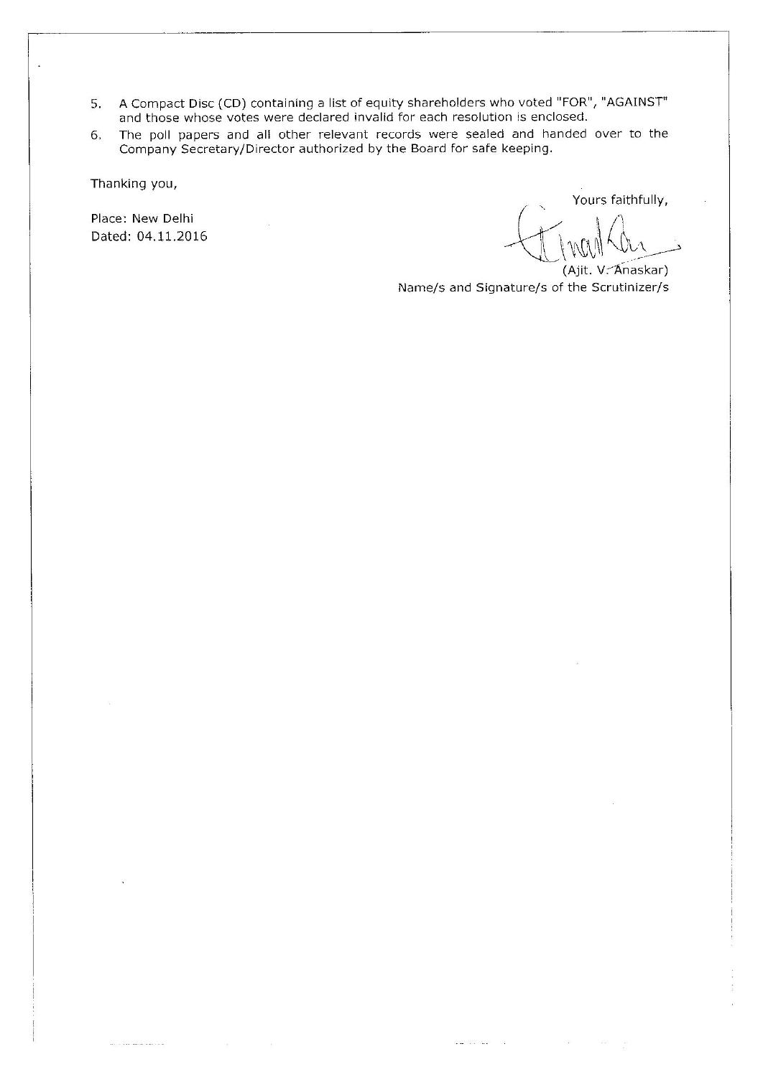- 5. A Compact Disc (CD) containing a list of equity shareholders who voted "FOR", "AGAINST" and those whose votes were declared invalid for each resolution is enclosed.
- The poll papers and all other relevant records were sealed and handed over to the Company Secretary/Director authorized by the Board for safe keeping. 6.

Thanking you,

. . . . . **. . . . . . .** . . . .

Place: New Delhi Dated: 04.11.2016

Yours faithfully,

(Ajit. V. Anaskar) Name/s and Signature/s of the Scrutinizer/s

 $\frac{1}{2}$  and  $\frac{1}{2}$  and  $\frac{1}{2}$  . In (